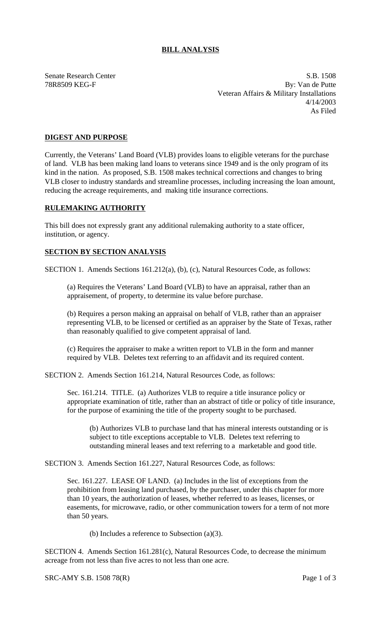## **BILL ANALYSIS**

Senate Research Center S.B. 1508 78R8509 KEG-F By: Van de Putte Veteran Affairs & Military Installations 4/14/2003 As Filed

## **DIGEST AND PURPOSE**

Currently, the Veterans' Land Board (VLB) provides loans to eligible veterans for the purchase of land. VLB has been making land loans to veterans since 1949 and is the only program of its kind in the nation. As proposed, S.B. 1508 makes technical corrections and changes to bring VLB closer to industry standards and streamline processes, including increasing the loan amount, reducing the acreage requirements, and making title insurance corrections.

## **RULEMAKING AUTHORITY**

This bill does not expressly grant any additional rulemaking authority to a state officer, institution, or agency.

## **SECTION BY SECTION ANALYSIS**

SECTION 1. Amends Sections 161.212(a), (b), (c), Natural Resources Code, as follows:

(a) Requires the Veterans' Land Board (VLB) to have an appraisal, rather than an appraisement, of property, to determine its value before purchase.

(b) Requires a person making an appraisal on behalf of VLB, rather than an appraiser representing VLB, to be licensed or certified as an appraiser by the State of Texas, rather than reasonably qualified to give competent appraisal of land.

(c) Requires the appraiser to make a written report to VLB in the form and manner required by VLB. Deletes text referring to an affidavit and its required content.

SECTION 2. Amends Section 161.214, Natural Resources Code, as follows:

Sec. 161.214. TITLE. (a) Authorizes VLB to require a title insurance policy or appropriate examination of title, rather than an abstract of title or policy of title insurance, for the purpose of examining the title of the property sought to be purchased.

(b) Authorizes VLB to purchase land that has mineral interests outstanding or is subject to title exceptions acceptable to VLB. Deletes text referring to outstanding mineral leases and text referring to a marketable and good title.

SECTION 3. Amends Section 161.227, Natural Resources Code, as follows:

Sec. 161.227. LEASE OF LAND. (a) Includes in the list of exceptions from the prohibition from leasing land purchased, by the purchaser, under this chapter for more than 10 years, the authorization of leases, whether referred to as leases, licenses, or easements, for microwave, radio, or other communication towers for a term of not more than 50 years.

(b) Includes a reference to Subsection (a)(3).

SECTION 4. Amends Section 161.281(c), Natural Resources Code, to decrease the minimum acreage from not less than five acres to not less than one acre.

SRC-AMY S.B. 1508 78(R) Page 1 of 3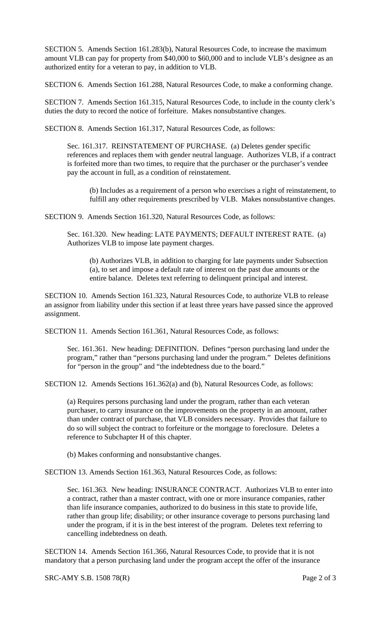SECTION 5. Amends Section 161.283(b), Natural Resources Code, to increase the maximum amount VLB can pay for property from \$40,000 to \$60,000 and to include VLB's designee as an authorized entity for a veteran to pay, in addition to VLB.

SECTION 6. Amends Section 161.288, Natural Resources Code, to make a conforming change.

SECTION 7. Amends Section 161.315, Natural Resources Code, to include in the county clerk's duties the duty to record the notice of forfeiture. Makes nonsubstantive changes.

SECTION 8. Amends Section 161.317, Natural Resources Code, as follows:

Sec. 161.317. REINSTATEMENT OF PURCHASE. (a) Deletes gender specific references and replaces them with gender neutral language. Authorizes VLB, if a contract is forfeited more than two times, to require that the purchaser or the purchaser's vendee pay the account in full, as a condition of reinstatement.

(b) Includes as a requirement of a person who exercises a right of reinstatement, to fulfill any other requirements prescribed by VLB. Makes nonsubstantive changes.

SECTION 9. Amends Section 161.320, Natural Resources Code, as follows:

Sec. 161.320. New heading: LATE PAYMENTS; DEFAULT INTEREST RATE. (a) Authorizes VLB to impose late payment charges.

(b) Authorizes VLB, in addition to charging for late payments under Subsection (a), to set and impose a default rate of interest on the past due amounts or the entire balance. Deletes text referring to delinquent principal and interest.

SECTION 10. Amends Section 161.323, Natural Resources Code, to authorize VLB to release an assignor from liability under this section if at least three years have passed since the approved assignment.

SECTION 11. Amends Section 161.361, Natural Resources Code, as follows:

Sec. 161.361. New heading: DEFINITION. Defines "person purchasing land under the program," rather than "persons purchasing land under the program." Deletes definitions for "person in the group" and "the indebtedness due to the board."

SECTION 12. Amends Sections 161.362(a) and (b), Natural Resources Code, as follows:

(a) Requires persons purchasing land under the program, rather than each veteran purchaser, to carry insurance on the improvements on the property in an amount, rather than under contract of purchase, that VLB considers necessary. Provides that failure to do so will subject the contract to forfeiture or the mortgage to foreclosure. Deletes a reference to Subchapter H of this chapter.

(b) Makes conforming and nonsubstantive changes.

SECTION 13. Amends Section 161.363, Natural Resources Code, as follows:

Sec. 161.363. New heading: INSURANCE CONTRACT. Authorizes VLB to enter into a contract, rather than a master contract, with one or more insurance companies, rather than life insurance companies, authorized to do business in this state to provide life, rather than group life; disability; or other insurance coverage to persons purchasing land under the program, if it is in the best interest of the program. Deletes text referring to cancelling indebtedness on death.

SECTION 14. Amends Section 161.366, Natural Resources Code, to provide that it is not mandatory that a person purchasing land under the program accept the offer of the insurance